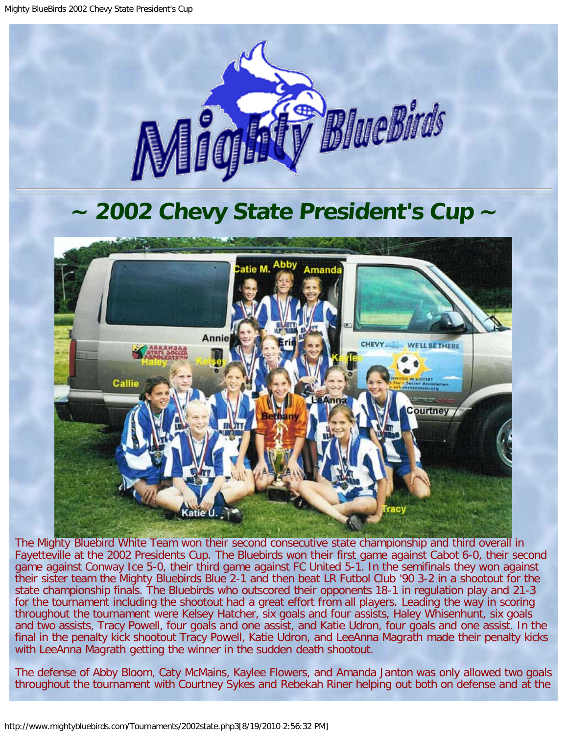

## **~ 2002 Chevy State President's Cup ~**

<span id="page-0-0"></span>

The Mighty Bluebird White Team won their second consecutive state championship and third overall in Fayetteville at the 2002 Presidents Cup. The Bluebirds won their first game against Cabot 6-0, their second game against Conway Ice 5-0, their third game against FC United 5-1. In the semifinals they won against their sister team the Mighty Bluebirds Blue 2-1 and then beat LR Futbol Club '90 3-2 in a shootout for the state championship finals. The Bluebirds who outscored their opponents 18-1 in regulation play and 21-3 for the tournament including the shootout had a great effort from all players. Leading the way in scoring throughout the tournament were Kelsey Hatcher, six goals and four assists, Haley Whisenhunt, six goals and two assists, Tracy Powell, four goals and one assist, and Katie Udron, four goals and one assist. In the final in the penalty kick shootout Tracy Powell, Katie Udron, and LeeAnna Magrath made their penalty kicks with LeeAnna Magrath getting the winner in the sudden death shootout.

The defense of Abby Bloom, Caty McMains, Kaylee Flowers, and Amanda Janton was only allowed two goals throughout the tournament with Courtney Sykes and Rebekah Riner helping out both on defense and at the